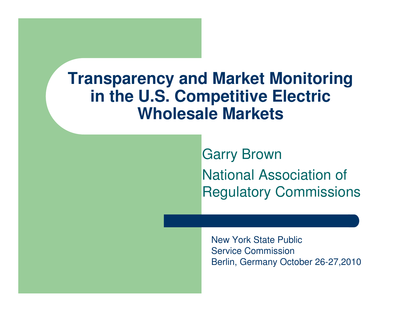#### **Transparency and Market Monitoring in the U.S. Competitive Electric Wholesale Markets**

Garry BrownNational Association of Regulatory Commissions

New York State Public Service CommissionBerlin, Germany October 26-27,2010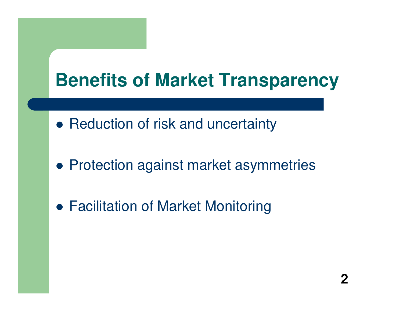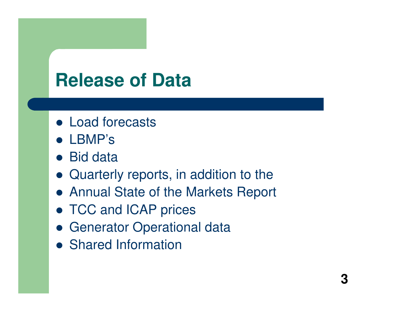## **Release of Data**

- Load forecasts
- LBMP's
- Bid data
- Quarterly reports, in addition to the
- Annual State of the Markets Report
- TCC and ICAP prices
- Generator Operational data
- **Shared Information**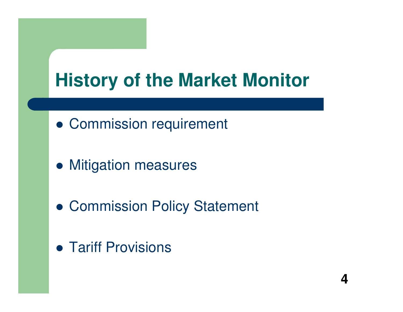# **History of the Market Monitor**

- Commission requirement
- **Mitigation measures**
- Commission Policy Statement
- **Tariff Provisions**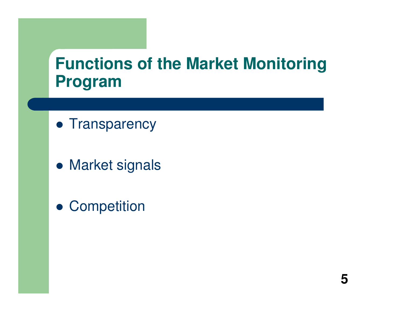#### **Functions of the Market Monitoring Program**

- **Transparency**
- **Market signals**
- **Competition**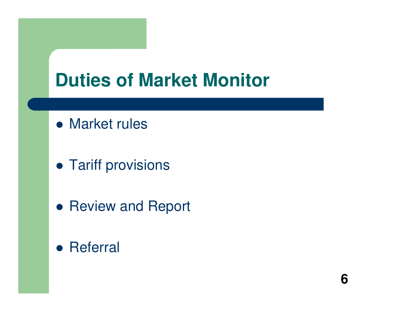## **Duties of Market Monitor**

- Market rules
- **Tariff provisions**
- **Review and Report**
- **•** Referral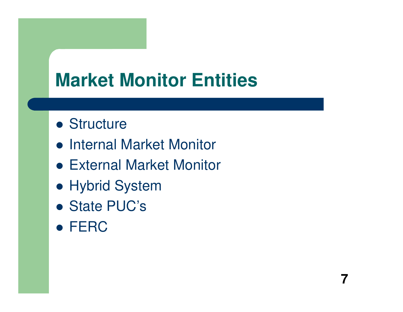## **Market Monitor Entities**

**7**

- Structure
- **Internal Market Monitor**
- External Market Monitor
- Hybrid System
- State PUC's
- FERC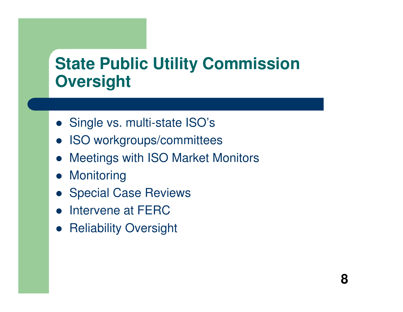#### **State Public Utility Commission Oversight**

- Single vs. multi-state ISO's
- $\bullet$ ISO workgroups/committees
- $\bullet$ Meetings with ISO Market Monitors
- **•** Monitoring
- **Special Case Reviews**
- $\bullet$ Intervene at FERC
- **Reliability Oversight**  $\bullet$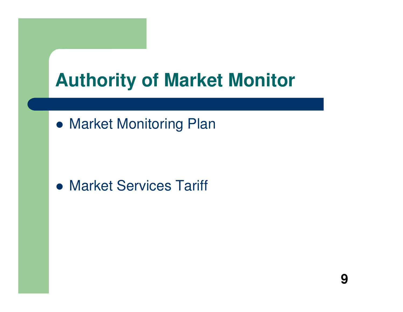## **Authority of Market Monitor**

**• Market Monitoring Plan** 

## Market Services Tariff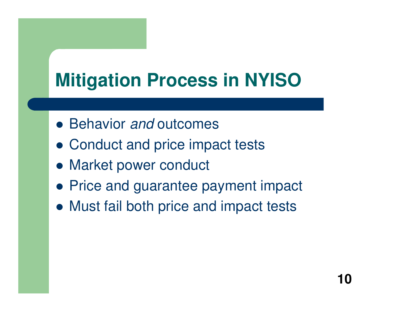# **Mitigation Process in NYISO**

- Behavior and outcomes
- Conduct and price impact tests
- Market power conduct
- **Price and guarantee payment impact**
- Must fail both price and impact tests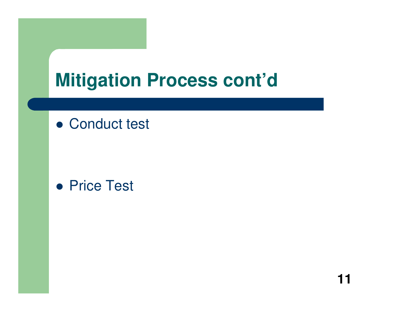## **Mitigation Process cont'd**

## Conduct test

### ● Price Test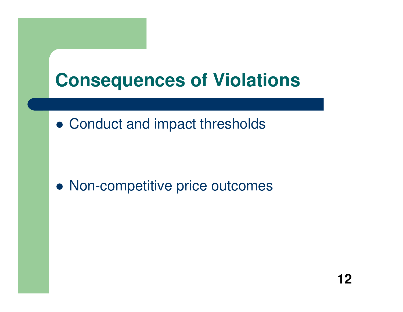

Conduct and impact thresholds

Non-competitive price outcomes